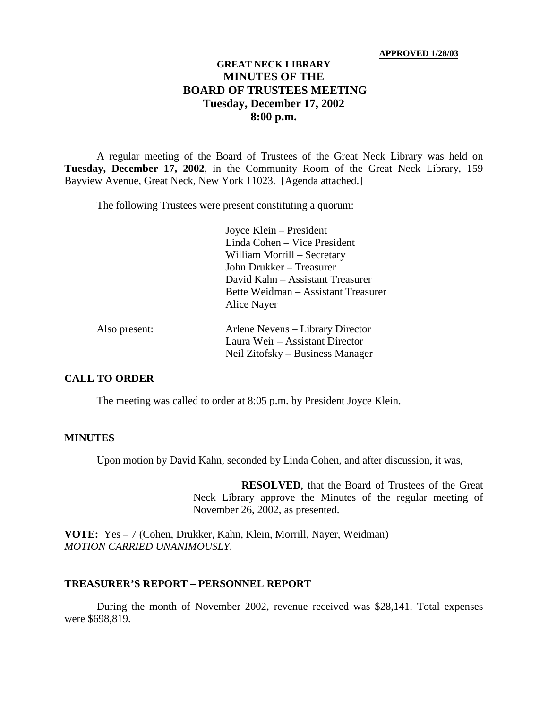#### **APPROVED 1/28/03**

# **GREAT NECK LIBRARY MINUTES OF THE BOARD OF TRUSTEES MEETING Tuesday, December 17, 2002 8:00 p.m.**

A regular meeting of the Board of Trustees of the Great Neck Library was held on **Tuesday, December 17, 2002**, in the Community Room of the Great Neck Library, 159 Bayview Avenue, Great Neck, New York 11023. [Agenda attached.]

The following Trustees were present constituting a quorum:

Joyce Klein – President Linda Cohen – Vice President William Morrill – Secretary John Drukker – Treasurer David Kahn – Assistant Treasurer Bette Weidman – Assistant Treasurer Alice Nayer

| Also present: | Arlene Nevens – Library Director |
|---------------|----------------------------------|
|               | Laura Weir – Assistant Director  |
|               | Neil Zitofsky – Business Manager |

### **CALL TO ORDER**

The meeting was called to order at 8:05 p.m. by President Joyce Klein.

#### **MINUTES**

Upon motion by David Kahn, seconded by Linda Cohen, and after discussion, it was,

**RESOLVED**, that the Board of Trustees of the Great Neck Library approve the Minutes of the regular meeting of November 26, 2002, as presented.

**VOTE:** Yes – 7 (Cohen, Drukker, Kahn, Klein, Morrill, Nayer, Weidman) *MOTION CARRIED UNANIMOUSLY.*

#### **TREASURER'S REPORT – PERSONNEL REPORT**

During the month of November 2002, revenue received was \$28,141. Total expenses were \$698,819.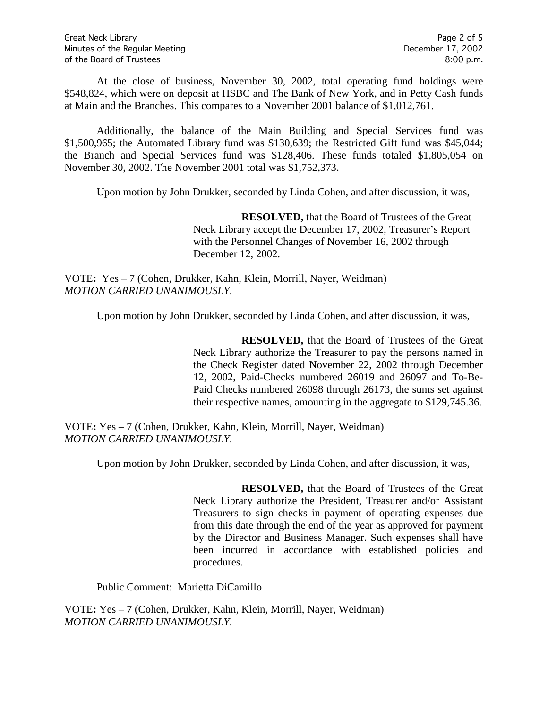At the close of business, November 30, 2002, total operating fund holdings were \$548,824, which were on deposit at HSBC and The Bank of New York, and in Petty Cash funds at Main and the Branches. This compares to a November 2001 balance of \$1,012,761.

Additionally, the balance of the Main Building and Special Services fund was \$1,500,965; the Automated Library fund was \$130,639; the Restricted Gift fund was \$45,044; the Branch and Special Services fund was \$128,406. These funds totaled \$1,805,054 on November 30, 2002. The November 2001 total was \$1,752,373.

Upon motion by John Drukker, seconded by Linda Cohen, and after discussion, it was,

**RESOLVED,** that the Board of Trustees of the Great Neck Library accept the December 17, 2002, Treasurer's Report with the Personnel Changes of November 16, 2002 through December 12, 2002.

VOTE**:** Yes – 7 (Cohen, Drukker, Kahn, Klein, Morrill, Nayer, Weidman) *MOTION CARRIED UNANIMOUSLY.*

Upon motion by John Drukker, seconded by Linda Cohen, and after discussion, it was,

**RESOLVED,** that the Board of Trustees of the Great Neck Library authorize the Treasurer to pay the persons named in the Check Register dated November 22, 2002 through December 12, 2002, Paid-Checks numbered 26019 and 26097 and To-Be-Paid Checks numbered 26098 through 26173, the sums set against their respective names, amounting in the aggregate to \$129,745.36.

VOTE**:** Yes – 7 (Cohen, Drukker, Kahn, Klein, Morrill, Nayer, Weidman) *MOTION CARRIED UNANIMOUSLY.*

Upon motion by John Drukker, seconded by Linda Cohen, and after discussion, it was,

**RESOLVED,** that the Board of Trustees of the Great Neck Library authorize the President, Treasurer and/or Assistant Treasurers to sign checks in payment of operating expenses due from this date through the end of the year as approved for payment by the Director and Business Manager. Such expenses shall have been incurred in accordance with established policies and procedures.

Public Comment: Marietta DiCamillo

VOTE**:** Yes – 7 (Cohen, Drukker, Kahn, Klein, Morrill, Nayer, Weidman) *MOTION CARRIED UNANIMOUSLY.*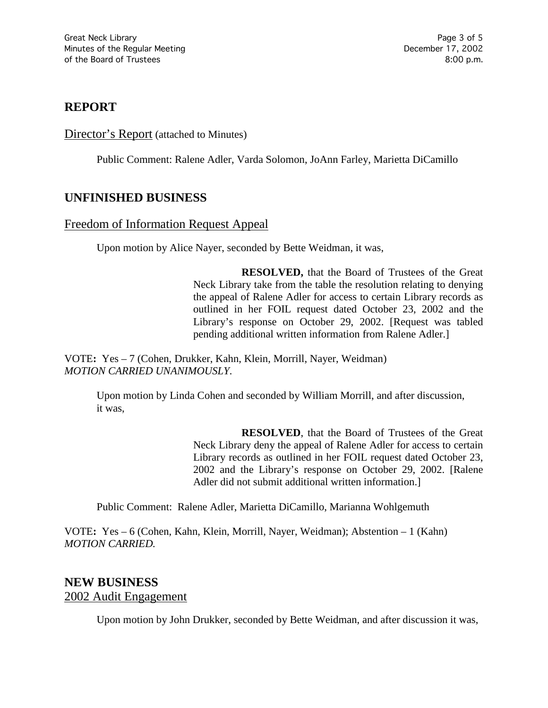# **REPORT**

## Director's Report (attached to Minutes)

Public Comment: Ralene Adler, Varda Solomon, JoAnn Farley, Marietta DiCamillo

# **UNFINISHED BUSINESS**

## Freedom of Information Request Appeal

Upon motion by Alice Nayer, seconded by Bette Weidman, it was,

**RESOLVED,** that the Board of Trustees of the Great Neck Library take from the table the resolution relating to denying the appeal of Ralene Adler for access to certain Library records as outlined in her FOIL request dated October 23, 2002 and the Library's response on October 29, 2002. [Request was tabled pending additional written information from Ralene Adler.]

VOTE**:** Yes – 7 (Cohen, Drukker, Kahn, Klein, Morrill, Nayer, Weidman) *MOTION CARRIED UNANIMOUSLY.*

Upon motion by Linda Cohen and seconded by William Morrill, and after discussion, it was,

> **RESOLVED**, that the Board of Trustees of the Great Neck Library deny the appeal of Ralene Adler for access to certain Library records as outlined in her FOIL request dated October 23, 2002 and the Library's response on October 29, 2002. [Ralene Adler did not submit additional written information.]

Public Comment: Ralene Adler, Marietta DiCamillo, Marianna Wohlgemuth

VOTE**:** Yes – 6 (Cohen, Kahn, Klein, Morrill, Nayer, Weidman); Abstention – 1 (Kahn) *MOTION CARRIED.*

# **NEW BUSINESS** 2002 Audit Engagement

Upon motion by John Drukker, seconded by Bette Weidman, and after discussion it was,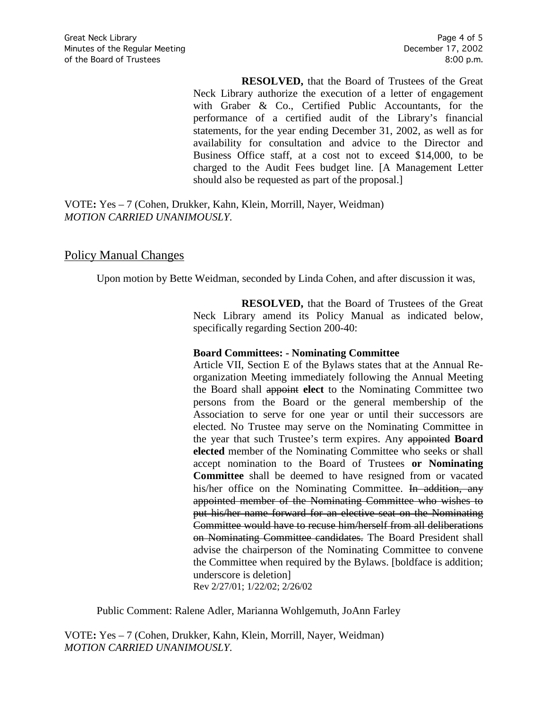**RESOLVED,** that the Board of Trustees of the Great Neck Library authorize the execution of a letter of engagement with Graber & Co., Certified Public Accountants, for the performance of a certified audit of the Library's financial statements, for the year ending December 31, 2002, as well as for availability for consultation and advice to the Director and Business Office staff, at a cost not to exceed \$14,000, to be charged to the Audit Fees budget line. [A Management Letter should also be requested as part of the proposal.]

VOTE**:** Yes – 7 (Cohen, Drukker, Kahn, Klein, Morrill, Nayer, Weidman) *MOTION CARRIED UNANIMOUSLY.*

## Policy Manual Changes

Upon motion by Bette Weidman, seconded by Linda Cohen, and after discussion it was,

**RESOLVED,** that the Board of Trustees of the Great Neck Library amend its Policy Manual as indicated below, specifically regarding Section 200-40:

#### **Board Committees: - Nominating Committee**

Article VII, Section E of the Bylaws states that at the Annual Reorganization Meeting immediately following the Annual Meeting the Board shall appoint **elect** to the Nominating Committee two persons from the Board or the general membership of the Association to serve for one year or until their successors are elected. No Trustee may serve on the Nominating Committee in the year that such Trustee's term expires. Any appointed **Board elected** member of the Nominating Committee who seeks or shall accept nomination to the Board of Trustees **or Nominating Committee** shall be deemed to have resigned from or vacated his/her office on the Nominating Committee. In addition, any appointed member of the Nominating Committee who wishes to put his/her name forward for an elective seat on the Nominating Committee would have to recuse him/herself from all deliberations on Nominating Committee candidates. The Board President shall advise the chairperson of the Nominating Committee to convene the Committee when required by the Bylaws. [boldface is addition; underscore is deletion] Rev 2/27/01; 1/22/02; 2/26/02

Public Comment: Ralene Adler, Marianna Wohlgemuth, JoAnn Farley

VOTE**:** Yes – 7 (Cohen, Drukker, Kahn, Klein, Morrill, Nayer, Weidman) *MOTION CARRIED UNANIMOUSLY.*